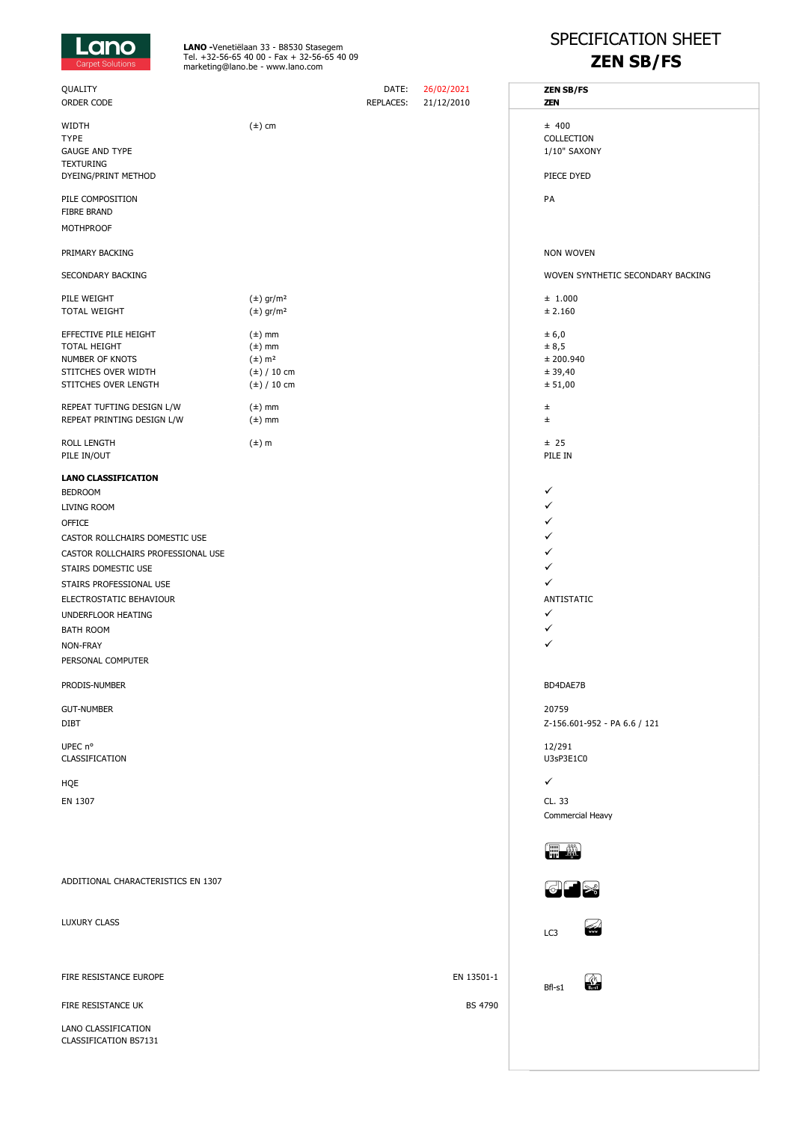

**LANO -**Venetiëlaan 33 - B8530 Stasegem<br>Tel. +32-56-65 40 00 - Fax + 32-56-65 40 09<br>marketing@lano.be - www.lano.com

## SPECIFICATION SHEET **ZEN SB/FS**

| QUALITY<br>ORDER CODE                                                                                                                                                                                                                                                                                        |                                                                                                                      | DATE:<br><b>REPLACES:</b> | 26/02/2021<br>21/12/2010 | <b>ZEN SB/FS</b><br><b>ZEN</b>                                            |
|--------------------------------------------------------------------------------------------------------------------------------------------------------------------------------------------------------------------------------------------------------------------------------------------------------------|----------------------------------------------------------------------------------------------------------------------|---------------------------|--------------------------|---------------------------------------------------------------------------|
| WIDTH<br><b>TYPE</b><br><b>GAUGE AND TYPE</b><br><b>TEXTURING</b><br>DYEING/PRINT METHOD                                                                                                                                                                                                                     | $(\pm)$ cm                                                                                                           |                           |                          | ± 400<br>COLLECTION<br>1/10" SAXONY<br>PIECE DYED                         |
| PILE COMPOSITION<br><b>FIBRE BRAND</b><br><b>MOTHPROOF</b>                                                                                                                                                                                                                                                   |                                                                                                                      |                           |                          | PA                                                                        |
| PRIMARY BACKING                                                                                                                                                                                                                                                                                              |                                                                                                                      |                           |                          | <b>NON WOVEN</b>                                                          |
| SECONDARY BACKING                                                                                                                                                                                                                                                                                            |                                                                                                                      |                           |                          | WOVEN SYNTHETIC SECONDARY BACKING                                         |
| PILE WEIGHT<br>TOTAL WEIGHT                                                                                                                                                                                                                                                                                  | $(\pm)$ gr/m <sup>2</sup><br>$(\pm)$ gr/m <sup>2</sup>                                                               |                           |                          | ± 1.000<br>± 2.160                                                        |
| EFFECTIVE PILE HEIGHT<br>TOTAL HEIGHT<br>NUMBER OF KNOTS<br>STITCHES OVER WIDTH<br>STITCHES OVER LENGTH<br>REPEAT TUFTING DESIGN L/W<br>REPEAT PRINTING DESIGN L/W                                                                                                                                           | $(\pm)$ mm<br>$(\pm)$ mm<br>$(\pm)$ m <sup>2</sup><br>$(\pm)$ / 10 cm<br>$(\pm)$ / 10 cm<br>$(\pm)$ mm<br>$(\pm)$ mm |                           |                          | ± 6,0<br>± 8,5<br>± 200.940<br>± 39,40<br>± 51,00<br>$_{\pm}$<br>$_{\pm}$ |
| ROLL LENGTH<br>PILE IN/OUT                                                                                                                                                                                                                                                                                   | $(\pm)$ m                                                                                                            |                           |                          | ± 25<br>PILE IN                                                           |
| <b>LANO CLASSIFICATION</b><br><b>BEDROOM</b><br>LIVING ROOM<br><b>OFFICE</b><br>CASTOR ROLLCHAIRS DOMESTIC USE<br>CASTOR ROLLCHAIRS PROFESSIONAL USE<br>STAIRS DOMESTIC USE<br>STAIRS PROFESSIONAL USE<br>ELECTROSTATIC BEHAVIOUR<br>UNDERFLOOR HEATING<br><b>BATH ROOM</b><br>NON-FRAY<br>PERSONAL COMPUTER |                                                                                                                      |                           |                          | ✓<br>✓<br>✓<br>✓<br>✓<br>✓<br>ANTISTATIC<br>✓<br>✓<br>✓                   |
| PRODIS-NUMBER                                                                                                                                                                                                                                                                                                |                                                                                                                      |                           |                          | BD4DAE7B                                                                  |
| <b>GUT-NUMBER</b><br><b>DIBT</b>                                                                                                                                                                                                                                                                             |                                                                                                                      |                           |                          | 20759<br>Z-156.601-952 - PA 6.6 / 121                                     |
| UPEC n°<br>CLASSIFICATION                                                                                                                                                                                                                                                                                    |                                                                                                                      |                           |                          | 12/291<br>U3sP3E1C0                                                       |
| HQE                                                                                                                                                                                                                                                                                                          |                                                                                                                      |                           |                          | $\checkmark$                                                              |
| EN 1307                                                                                                                                                                                                                                                                                                      |                                                                                                                      |                           |                          | CL. 33<br>Commercial Heavy                                                |
| ADDITIONAL CHARACTERISTICS EN 1307                                                                                                                                                                                                                                                                           |                                                                                                                      |                           |                          | t ji<br>883                                                               |
| LUXURY CLASS                                                                                                                                                                                                                                                                                                 |                                                                                                                      |                           |                          | LC3                                                                       |
| FIRE RESISTANCE EUROPE                                                                                                                                                                                                                                                                                       |                                                                                                                      |                           | EN 13501-1               | 翰<br>Bfl-s1                                                               |
| FIRE RESISTANCE UK                                                                                                                                                                                                                                                                                           |                                                                                                                      |                           | <b>BS 4790</b>           |                                                                           |
| LANO CLASSIFICATION<br>CLASSIFICATION BS7131                                                                                                                                                                                                                                                                 |                                                                                                                      |                           |                          |                                                                           |